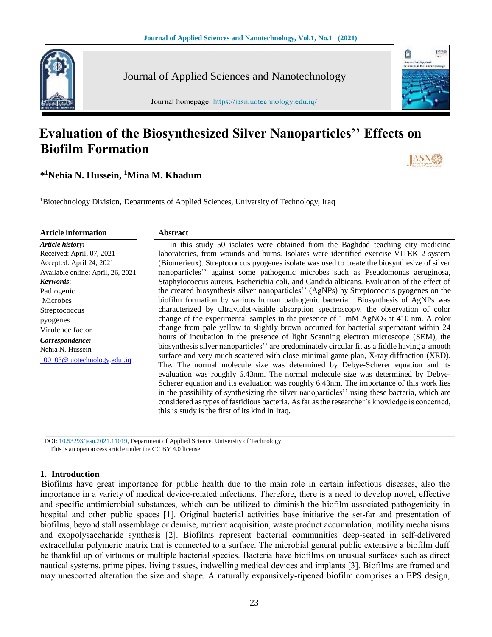ũ



Journal of Applied Sciences and Nanotechnology

Journal homepage: https://jasn.uotechnology.edu.iq/

# **Evaluation of the Biosynthesized Silver Nanoparticles'' Effects on Biofilm Formation**

**\* <sup>1</sup>Nehia N. Hussein, <sup>1</sup>Mina M. Khadum**

<sup>1</sup>Biotechnology Division, Departments of Applied Sciences, University of Technology, Iraq

| <b>Article information</b>        | <b>Abstract</b>                                                                                |
|-----------------------------------|------------------------------------------------------------------------------------------------|
| Article history:                  | In this study 50 isolates were obtained from the Baghdad teaching city medicine                |
| Received: April, 07, 2021         | laboratories, from wounds and burns. Isolates were identified exercise VITEK 2 system          |
| Accepted: April 24, 2021          | (Biomerieux). Streptococcus pyogenes isolate was used to create the biosynthesize of silver    |
| Available online: April, 26, 2021 | nanoparticles" against some pathogenic microbes such as Pseudomonas aeruginosa,                |
| Keywords:                         | Staphylococcus aureus, Escherichia coli, and Candida albicans. Evaluation of the effect of     |
| Pathogenic                        | the created biosynthesis silver nanoparticles'' (AgNPs) by Streptococcus pyogenes on the       |
| Microbes                          | biofilm formation by various human pathogenic bacteria. Biosynthesis of AgNPs was              |
| Streptococcus                     | characterized by ultraviolet-visible absorption spectroscopy, the observation of color         |
| pyogenes                          | change of the experimental samples in the presence of 1 mM $AgNO3$ at 410 nm. A color          |
| Virulence factor                  | change from pale yellow to slightly brown occurred for bacterial supernatant within 24         |
| Correspondence:                   | hours of incubation in the presence of light Scanning electron microscope (SEM), the           |
| Nehia N. Hussein                  | biosynthesis silver nanoparticles" are predominately circular fit as a fiddle having a smooth  |
| 100103@ uotechnology.edu .iq      | surface and very much scattered with close minimal game plan, X-ray diffraction (XRD).         |
|                                   | The. The normal molecule size was determined by Debye-Scherer equation and its                 |
|                                   | evaluation was roughly 6.43nm. The normal molecule size was determined by Debye-               |
|                                   | Scherer equation and its evaluation was roughly 6.43nm. The importance of this work lies       |
|                                   | in the possibility of synthesizing the silver nanoparticles'' using these bacteria, which are  |
|                                   | considered as types of fastidious bacteria. As far as the researcher's knowledge is concerned, |

this is study is the first of its kind in Iraq.

 DOI: 10.53293/jasn.2021.11019, Department of Applied Science, University of Technology This is an open access article under the CC BY 4.0 license.

# **1. Introduction**

Biofilms have great importance for public health due to the main role in certain infectious diseases, also the importance in a variety of medical device-related infections. Therefore, there is a need to develop novel, effective and specific antimicrobial substances, which can be utilized to diminish the biofilm associated pathogenicity in hospital and other public spaces [1]. Original bacterial activities base initiative the set-far and presentation of biofilms, beyond stall assemblage or demise, nutrient acquisition, waste product accumulation, motility mechanisms and exopolysaccharide synthesis [2]. Biofilms represent bacterial communities deep-seated in self-delivered extracellular polymeric matrix that is connected to a surface. The microbial general public extensive a biofilm duff be thankful up of virtuous or multiple bacterial species. Bacteria have biofilms on unusual surfaces such as direct nautical systems, prime pipes, living tissues, indwelling medical devices and implants [3]. Biofilms are framed and may unescorted alteration the size and shape. A naturally expansively-ripened biofilm comprises an EPS design,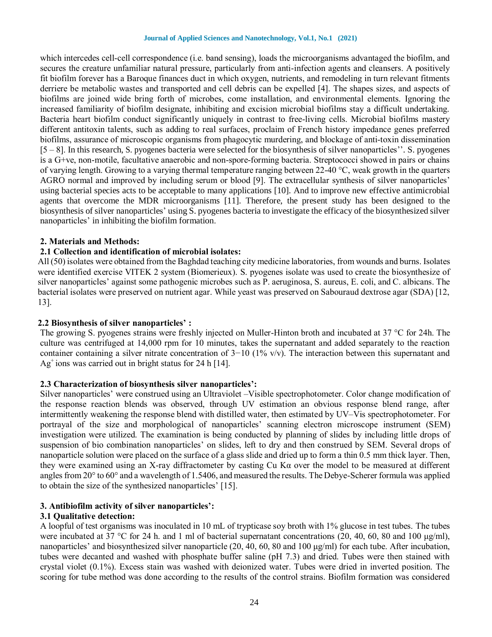which intercedes cell-cell correspondence (i.e. band sensing), loads the microorganisms advantaged the biofilm, and secures the creature unfamiliar natural pressure, particularly from anti-infection agents and cleansers. A positively fit biofilm forever has a Baroque finances duct in which oxygen, nutrients, and remodeling in turn relevant fitments derriere be metabolic wastes and transported and cell debris can be expelled [4]. The shapes sizes, and aspects of biofilms are joined wide bring forth of microbes, come installation, and environmental elements. Ignoring the increased familiarity of biofilm designate, inhibiting and excision microbial biofilms stay a difficult undertaking. Bacteria heart biofilm conduct significantly uniquely in contrast to free-living cells. Microbial biofilms mastery different antitoxin talents, such as adding to real surfaces, proclaim of French history impedance genes preferred biofilms, assurance of microscopic organisms from phagocytic murdering, and blockage of anti-toxin dissemination [5 – 8]. In this research, S. pyogenes bacteria were selected for the biosynthesis of silver nanoparticles''. S. pyogenes is a G+ve, non-motile, facultative anaerobic and non-spore-forming bacteria. Streptococci showed in pairs or chains of varying length. Growing to a varying thermal temperature ranging between 22-40 °C, weak growth in the quarters AGRO normal and improved by including serum or blood [9]. The extracellular synthesis of silver nanoparticles' using bacterial species acts to be acceptable to many applications [10]. And to improve new effective antimicrobial agents that overcome the MDR microorganisms [11]. Therefore, the present study has been designed to the biosynthesis of silver nanoparticles' using S. pyogenes bacteria to investigate the efficacy of the biosynthesized silver nanoparticles' in inhibiting the biofilm formation.

## **2. Materials and Methods:**

# **2.1 Collection and identification of microbial isolates:**

All (50) isolates were obtained from the Baghdad teaching city medicine laboratories, from wounds and burns. Isolates were identified exercise VITEK 2 system (Biomerieux). S. pyogenes isolate was used to create the biosynthesize of silver nanoparticles' against some pathogenic microbes such as P. aeruginosa, S. aureus, E. coli, and C. albicans. The bacterial isolates were preserved on nutrient agar. While yeast was preserved on Sabouraud dextrose agar (SDA) [12, 13].

#### **2.2 Biosynthesis of silver nanoparticles' :**

The growing S. pyogenes strains were freshly injected on Muller-Hinton broth and incubated at 37 °C for 24h. The culture was centrifuged at 14,000 rpm for 10 minutes, takes the supernatant and added separately to the reaction container containing a silver nitrate concentration of 3−10 (1% v/v). The interaction between this supernatant and Ag<sup>+</sup> ions was carried out in bright status for 24 h [14].

#### **2.3 Characterization of biosynthesis silver nanoparticles':**

Silver nanoparticles' were construed using an Ultraviolet –Visible spectrophotometer. Color change modification of the response reaction blends was observed, through UV estimation an obvious response blend range, after intermittently weakening the response blend with distilled water, then estimated by UV–Vis spectrophotometer. For portrayal of the size and morphological of nanoparticles' scanning electron microscope instrument (SEM) investigation were utilized. The examination is being conducted by planning of slides by including little drops of suspension of bio combination nanoparticles' on slides, left to dry and then construed by SEM. Several drops of nanoparticle solution were placed on the surface of a glass slide and dried up to form a thin 0.5 mm thick layer. Then, they were examined using an X-ray diffractometer by casting Cu Kα over the model to be measured at different angles from 20° to 60° and a wavelength of 1.5406, and measured the results. The Debye-Scherer formula was applied to obtain the size of the synthesized nanoparticles' [15].

#### **3. Antibiofilm activity of silver nanoparticles':**

#### **3.1 Qualitative detection:**

A loopful of test organisms was inoculated in 10 mL of trypticase soy broth with 1% glucose in test tubes. The tubes were incubated at 37 °C for 24 h. and 1 ml of bacterial supernatant concentrations (20, 40, 60, 80 and 100  $\mu\text{g/ml}$ ), nanoparticles' and biosynthesized silver nanoparticle (20, 40, 60, 80 and 100 μg/ml) for each tube. After incubation, tubes were decanted and washed with phosphate buffer saline (pH 7.3) and dried. Tubes were then stained with crystal violet (0.1%). Excess stain was washed with deionized water. Tubes were dried in inverted position. The scoring for tube method was done according to the results of the control strains. Biofilm formation was considered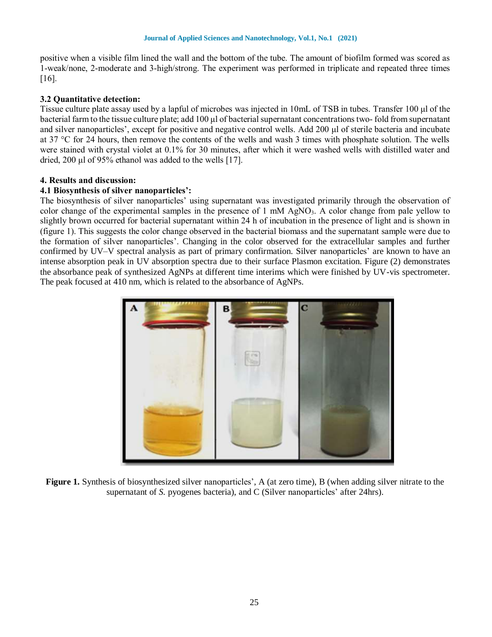positive when a visible film lined the wall and the bottom of the tube. The amount of biofilm formed was scored as 1-weak/none, 2-moderate and 3-high/strong. The experiment was performed in triplicate and repeated three times [16].

## **3.2 Quantitative detection:**

Tissue culture plate assay used by a lapful of microbes was injected in 10mL of TSB in tubes. Transfer 100 μl of the bacterial farm to the tissue culture plate; add  $100 \mu$  of bacterial supernatant concentrations two-fold from supernatant and silver nanoparticles', except for positive and negative control wells. Add 200 μl of sterile bacteria and incubate at 37 °C for 24 hours, then remove the contents of the wells and wash 3 times with phosphate solution. The wells were stained with crystal violet at 0.1% for 30 minutes, after which it were washed wells with distilled water and dried, 200 μl of 95% ethanol was added to the wells [17].

#### **4. Results and discussion:**

## **4.1 Biosynthesis of silver nanoparticles':**

The biosynthesis of silver nanoparticles' using supernatant was investigated primarily through the observation of color change of the experimental samples in the presence of  $1 \text{ mM } AgNO<sub>3</sub>$ . A color change from pale yellow to slightly brown occurred for bacterial supernatant within 24 h of incubation in the presence of light and is shown in (figure 1). This suggests the color change observed in the bacterial biomass and the supernatant sample were due to the formation of silver nanoparticles'. Changing in the color observed for the extracellular samples and further confirmed by UV–V spectral analysis as part of primary confirmation. Silver nanoparticles' are known to have an intense absorption peak in UV absorption spectra due to their surface Plasmon excitation. Figure (2) demonstrates the absorbance peak of synthesized AgNPs at different time interims which were finished by UV-vis spectrometer. The peak focused at 410 nm, which is related to the absorbance of AgNPs.



**Figure 1.** Synthesis of biosynthesized silver nanoparticles', A (at zero time), B (when adding silver nitrate to the supernatant of *S*. pyogenes bacteria), and *C* (Silver nanoparticles' after 24hrs).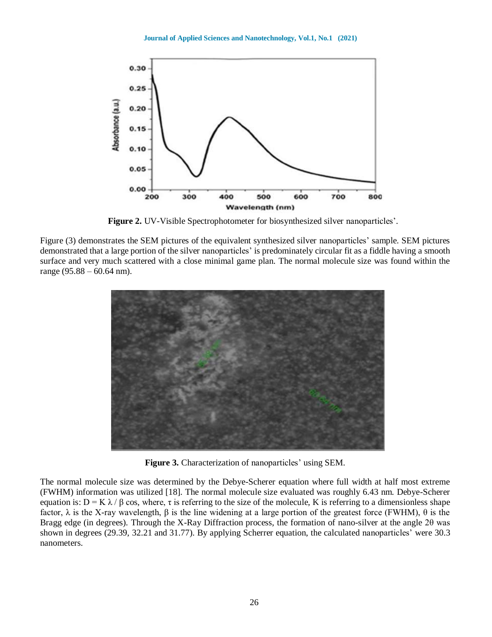

**Figure 2.** UV-Visible Spectrophotometer for biosynthesized silver nanoparticles'.

Figure (3) demonstrates the SEM pictures of the equivalent synthesized silver nanoparticles' sample. SEM pictures demonstrated that a large portion of the silver nanoparticles' is predominately circular fit as a fiddle having a smooth surface and very much scattered with a close minimal game plan. The normal molecule size was found within the range (95.88 – 60.64 nm).



**Figure 3.** Characterization of nanoparticles' using SEM.

The normal molecule size was determined by the Debye-Scherer equation where full width at half most extreme (FWHM) information was utilized [18]. The normal molecule size evaluated was roughly 6.43 nm. Debye-Scherer equation is:  $D = K \lambda / \beta \cos$ , where,  $\tau$  is referring to the size of the molecule, K is referring to a dimensionless shape factor, λ is the X-ray wavelength, β is the line widening at a large portion of the greatest force (FWHM), θ is the Bragg edge (in degrees). Through the X-Ray Diffraction process, the formation of nano-silver at the angle 2θ was shown in degrees (29.39, 32.21 and 31.77). By applying Scherrer equation, the calculated nanoparticles' were 30.3 nanometers.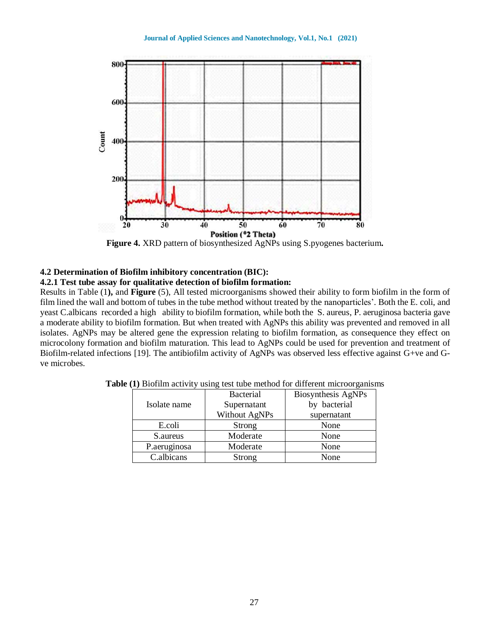

**Figure 4.** XRD pattern of biosynthesized AgNPs using S.pyogenes bacterium**.**

# **4.2 Determination of Biofilm inhibitory concentration (BIC):**

# **4.2.1 Test tube assay for qualitative detection of biofilm formation:**

Results in Table (1**),** and **Figure** (5), All tested microorganisms showed their ability to form biofilm in the form of film lined the wall and bottom of tubes in the tube method without treated by the nanoparticles'. Both the E. coli, and yeast C.albicans recorded a high ability to biofilm formation, while both the S. aureus, P. aeruginosa bacteria gave a moderate ability to biofilm formation. But when treated with AgNPs this ability was prevented and removed in all isolates. AgNPs may be altered gene the expression relating to biofilm formation, as consequence they effect on microcolony formation and biofilm maturation. This lead to AgNPs could be used for prevention and treatment of Biofilm-related infections [19]. The antibiofilm activity of AgNPs was observed less effective against G+ve and Gve microbes.

|              | <b>Bacterial</b> | Biosynthesis AgNPs |
|--------------|------------------|--------------------|
| Isolate name | Supernatant      | by bacterial       |
|              | Without AgNPs    | supernatant        |
| E.coli       | Strong           | None               |
| S.aureus     | Moderate         | None               |
| P.aeruginosa | Moderate         | None               |
| C.albicans   | Strong           | None               |

**Table (1)** Biofilm activity using test tube method for different microorganisms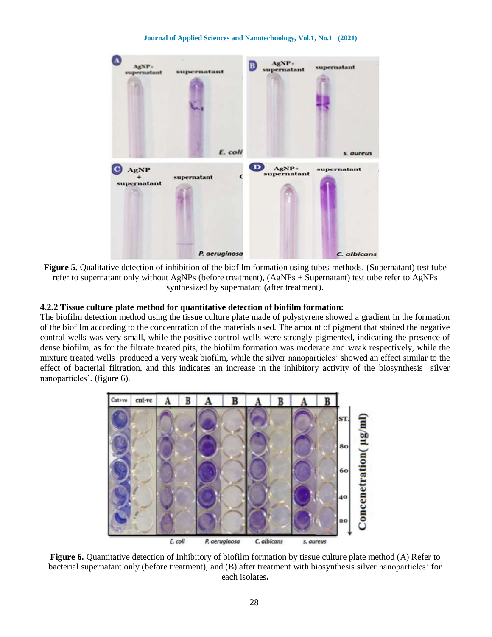

**Figure 5.** Qualitative detection of inhibition of the biofilm formation using tubes methods. (Supernatant) test tube refer to supernatant only without AgNPs (before treatment), (AgNPs + Supernatant) test tube refer to AgNPs synthesized by supernatant (after treatment).

#### **4.2.2 Tissue culture plate method for quantitative detection of biofilm formation:**

The biofilm detection method using the tissue culture plate made of polystyrene showed a gradient in the formation of the biofilm according to the concentration of the materials used. The amount of pigment that stained the negative control wells was very small, while the positive control wells were strongly pigmented, indicating the presence of dense biofilm, as for the filtrate treated pits, the biofilm formation was moderate and weak respectively, while the mixture treated wells produced a very weak biofilm, while the silver nanoparticles' showed an effect similar to the effect of bacterial filtration, and this indicates an increase in the inhibitory activity of the biosynthesis silver nanoparticles'. (figure 6).



**Figure 6.** Quantitative detection of Inhibitory of biofilm formation by tissue culture plate method (A) Refer to bacterial supernatant only (before treatment), and (B) after treatment with biosynthesis silver nanoparticles' for each isolates**.**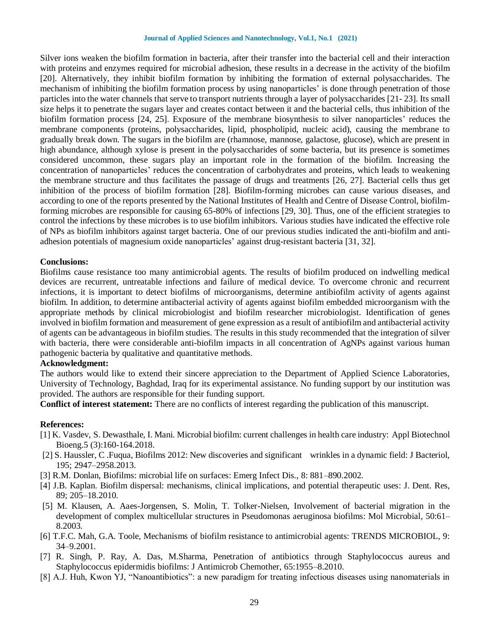Silver ions weaken the biofilm formation in bacteria, after their transfer into the bacterial cell and their interaction with proteins and enzymes required for microbial adhesion, these results in a decrease in the activity of the biofilm [20]. Alternatively, they inhibit biofilm formation by inhibiting the formation of external polysaccharides. The mechanism of inhibiting the biofilm formation process by using nanoparticles' is done through penetration of those particles into the water channels that serve to transport nutrients through a layer of polysaccharides [21- 23]. Its small size helps it to penetrate the sugars layer and creates contact between it and the bacterial cells, thus inhibition of the biofilm formation process [24, 25]. Exposure of the membrane biosynthesis to silver nanoparticles' reduces the membrane components (proteins, polysaccharides, lipid, phospholipid, nucleic acid), causing the membrane to gradually break down. The sugars in the biofilm are (rhamnose, mannose, galactose, glucose), which are present in high abundance, although xylose is present in the polysaccharides of some bacteria, but its presence is sometimes considered uncommon, these sugars play an important role in the formation of the biofilm. Increasing the concentration of nanoparticles' reduces the concentration of carbohydrates and proteins, which leads to weakening the membrane structure and thus facilitates the passage of drugs and treatments [26, 27]. Bacterial cells thus get inhibition of the process of biofilm formation [28]. Biofilm-forming microbes can cause various diseases, and according to one of the reports presented by the National Institutes of Health and Centre of Disease Control, biofilmforming microbes are responsible for causing 65-80% of infections [29, 30]. Thus, one of the efficient strategies to control the infections by these microbes is to use biofilm inhibitors. Various studies have indicated the effective role of NPs as biofilm inhibitors against target bacteria. One of our previous studies indicated the anti-biofilm and antiadhesion potentials of magnesium oxide nanoparticles' against drug-resistant bacteria [31, 32].

#### **Conclusions:**

Biofilms cause resistance too many antimicrobial agents. The results of biofilm produced on indwelling medical devices are recurrent, untreatable infections and failure of medical device. To overcome chronic and recurrent infections, it is important to detect biofilms of microorganisms, determine antibiofilm activity of agents against biofilm. In addition, to determine antibacterial activity of agents against biofilm embedded microorganism with the appropriate methods by clinical microbiologist and biofilm researcher microbiologist. Identification of genes involved in biofilm formation and measurement of gene expression as a result of antibiofilm and antibacterial activity of agents can be advantageous in biofilm studies. The results in this study recommended that the integration of silver with bacteria, there were considerable anti-biofilm impacts in all concentration of AgNPs against various human pathogenic bacteria by qualitative and quantitative methods.

## **Acknowledgment:**

The authors would like to extend their sincere appreciation to the Department of Applied Science Laboratories, University of Technology, Baghdad, Iraq for its experimental assistance. No funding support by our institution was provided. The authors are responsible for their funding support.

**Conflict of interest statement:** There are no conflicts of interest regarding the publication of this manuscript.

#### **References:**

- [1] K. Vasdev, S. Dewasthale, I. Mani. Microbial biofilm: current challenges in health care industry: Appl Biotechnol Bioeng.5 (3):160-164.2018.
- [2] S. Haussler, C .Fuqua, Biofilms 2012: New discoveries and significant wrinkles in a dynamic field: J Bacteriol, 195; 2947–2958.2013.
- [3] R.M. Donlan, Biofilms: microbial life on surfaces: Emerg Infect Dis., 8: 881–890.2002.
- [4] J.B. Kaplan. Biofilm dispersal: mechanisms, clinical implications, and potential therapeutic uses: J. Dent. Res, 89; 205–18.2010.
- [5] M. Klausen, A. Aaes-Jorgensen, S. Molin, T. Tolker-Nielsen, Involvement of bacterial migration in the development of complex multicellular structures in Pseudomonas aeruginosa biofilms: Mol Microbial, 50:61– 8.2003.
- [6] T.F.C. Mah, G.A. Toole, Mechanisms of biofilm resistance to antimicrobial agents: TRENDS MICROBIOL, 9: 34–9.2001.
- [7] R. Singh, P. Ray, A. Das, M.Sharma, Penetration of antibiotics through Staphylococcus aureus and Staphylococcus epidermidis biofilms: J Antimicrob Chemother, 65:1955–8.2010.
- [8] A.J. Huh, Kwon YJ, "Nanoantibiotics": a new paradigm for treating infectious diseases using nanomaterials in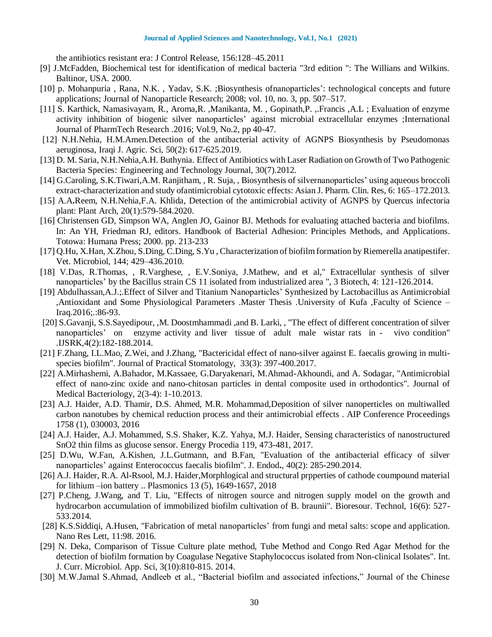the antibiotics resistant era: J Control Release, 156:128–45.2011

- [9] J.McFadden, Biochemical test for identification of medical bacteria "3rd edition ": The Willians and Wilkins. Baltinor, USA. 2000.
- [10] p. Mohanpuria , Rana, N.K. , Yadav, S.K. ;Biosynthesis ofnanoparticles': technological concepts and future applications; Journal of Nanoparticle Research; 2008; vol. 10, no. 3, pp. 507–517.
- [11] S. Karthick, Namasivayam, R., Aroma,R. ,Manikanta, M. , Gopinath,P. ,.Francis ,A.L ; Evaluation of enzyme activity inhibition of biogenic silver nanoparticles' against microbial extracellular enzymes ;International Journal of PharmTech Research .2016; Vol.9, No.2, pp 40-47.
- [12] N.H.Nehia, H.M.Amen.Detection of the antibacterial activity of AGNPS Biosynthesis by Pseudomonas aeruginosa, Iraqi J. Agric. Sci, 50(2): 617-625.2019.
- [13] D. M. Saria, N.H.Nehia,A.H. Buthynia. Effect of Antibiotics with Laser Radiation on Growth of Two Pathogenic Bacteria Species: Engineering and Technology Journal, 30(7).2012.
- [14] G.Caroling, S.K.Tiwari,A.M. Ranjitham, , R. Suja, , Biosynthesis of silvernanoparticles' using aqueous broccoli extract-characterization and study ofantimicrobial cytotoxic effects: Asian J. Pharm. Clin. Res, 6: 165–172.2013.
- [15] A.A**.**Reem, N.H.Nehia,F.A. Khlida, Detection of the antimicrobial activity of AGNPS by Quercus infectoria plant: Plant Arch, 20(1):579-584.2020.
- [16] Christensen GD, Simpson WA, Anglen JO, Gainor BJ. Methods for evaluating attached bacteria and biofilms. In: An YH, Friedman RJ, editors. Handbook of Bacterial Adhesion: Principles Methods, and Applications. Totowa: Humana Press; 2000. pp. 213-233
- [17] Q.Hu, X.Han, X.Zhou, S.Ding, C.Ding, S.Yu , Characterization of biofilm formation by Riemerella anatipestifer. Vet. Microbiol, 144; 429–436.2010.
- [18] V.Das, R.Thomas, , R.Varghese, , E.V.Soniya, J.Mathew, and et al," Extracellular synthesis of silver nanoparticles' by the Bacillus strain CS 11 isolated from industrialized area ", 3 Biotech, 4: 121-126.2014.
- [19] Abdulhassan,A.J.;.Effect of Silver and Titanium Nanoparticles' Synthesized by Lactobacillus as Antimicrobial ,Antioxidant and Some Physiological Parameters .Master Thesis .University of Kufa ,Faculty of Science – Iraq.2016;.:86-93.
- [20] S.Gavanji, S.S.Sayedipour, ,M. Doostmhammadi ,and B. Larki, , "The effect of different concentration of silver nanoparticles' on enzyme activity and liver tissue of adult male wistar rats in - vivo condition" .IJSRK,4(2):182-188.2014.
- [21] F.Zhang, I.L.Mao, Z.Wei, and J.Zhang, "Bactericidal effect of nano-silver against E. faecalis growing in multispecies biofilm". Journal of Practical Stomatology, 33(3): 397-400.2017.
- [22] A.Mirhashemi, A.Bahador, M.Kassaee, G.Daryakenari, M.Ahmad-Akhoundi, and A. Sodagar, "Antimicrobial effect of nano-zinc oxide and nano-chitosan particles in dental composite used in orthodontics". Journal of Medical Bacteriology, 2(3-4): 1-10.2013.
- [23] A.J. Haider, A.D. Thamir, D.S. Ahmed, M.R. Mohammad,Deposition of silver nanoperticles on multiwalled carbon nanotubes by chemical reduction process and their antimicrobial effects . AIP Conference Proceedings 1758 (1), 030003, 2016
- [24] A.J. Haider, A.J. Mohammed, S.S. Shaker, K.Z. Yahya, M.J. Haider, Sensing characteristics of nanostructured SnO2 thin films as glucose sensor. Energy Procedia 119, 473-481, 2017.
- [25] D.Wu, W.Fan, A.Kishen, J.L.Gutmann, and B.Fan, "Evaluation of the antibacterial efficacy of silver nanoparticles' against Enterococcus faecalis biofilm". J. Endod**.**, 40(2): 285-290.2014.
- [26] A.J. Haider, R.A. Al-Rsool, M.J. Haider,Morphlogical and structural prpperties of cathode coumpound material for lithium –ion battery .. Plasmonics 13 (5), 1649-1657, 2018
- [27] P.Cheng, J.Wang, and T. Liu, "Effects of nitrogen source and nitrogen supply model on the growth and hydrocarbon accumulation of immobilized biofilm cultivation of B. braunii". Bioresour. Technol, 16(6): 527- 533.2014.
- [28] K.S.Siddiqi, A.Husen, "Fabrication of metal nanoparticles' from fungi and metal salts: scope and application. Nano Res Lett, 11:98. 2016.
- [29] N. Deka, Comparison of Tissue Culture plate method, Tube Method and Congo Red Agar Method for the detection of biofilm formation by Coagulase Negative Staphylococcus isolated from Non-clinical Isolates". Int. J. Curr. Microbiol. App. Sci, 3(10):810-815. 2014.
- [30] M.W.Jamal S.Ahmad, Andleeb et al., "Bacterial biofilm and associated infections," Journal of the Chinese